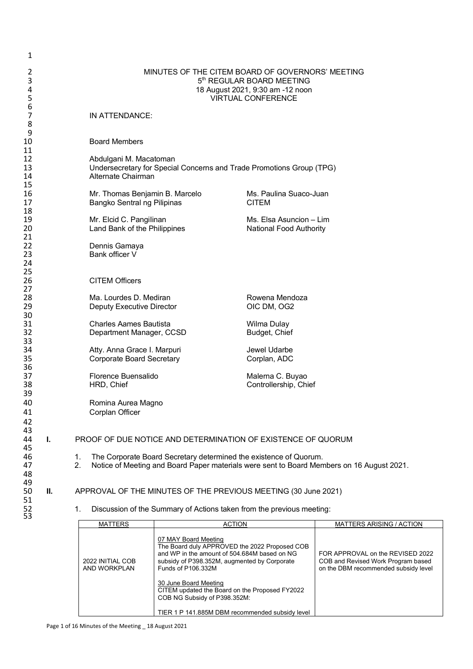| 1                    |    |                                                                 |                                                                                                                                                |                                                                       |                                                                                           |
|----------------------|----|-----------------------------------------------------------------|------------------------------------------------------------------------------------------------------------------------------------------------|-----------------------------------------------------------------------|-------------------------------------------------------------------------------------------|
| 2<br>3<br>4<br>5     |    |                                                                 | MINUTES OF THE CITEM BOARD OF GOVERNORS' MEETING<br>5th REGULAR BOARD MEETING<br>18 August 2021, 9:30 am -12 noon<br><b>VIRTUAL CONFERENCE</b> |                                                                       |                                                                                           |
| 6<br>7<br>8          |    | IN ATTENDANCE:                                                  |                                                                                                                                                |                                                                       |                                                                                           |
| 9<br>10<br>11        |    | <b>Board Members</b>                                            |                                                                                                                                                |                                                                       |                                                                                           |
| 12<br>13<br>14<br>15 |    | Abdulgani M. Macatoman<br>Alternate Chairman                    |                                                                                                                                                | Undersecretary for Special Concerns and Trade Promotions Group (TPG)  |                                                                                           |
| 16<br>17<br>18       |    | Mr. Thomas Benjamin B. Marcelo<br>Bangko Sentral ng Pilipinas   |                                                                                                                                                | Ms. Paulina Suaco-Juan<br><b>CITEM</b>                                |                                                                                           |
| 19<br>20<br>21       |    | Mr. Elcid C. Pangilinan<br>Land Bank of the Philippines         |                                                                                                                                                | Ms. Elsa Asuncion - Lim<br>National Food Authority                    |                                                                                           |
| 22<br>23<br>24<br>25 |    | Dennis Gamaya<br>Bank officer V                                 |                                                                                                                                                |                                                                       |                                                                                           |
| 26<br>27             |    | <b>CITEM Officers</b>                                           |                                                                                                                                                |                                                                       |                                                                                           |
| 28<br>29<br>30       |    | Ma. Lourdes D. Mediran<br>Deputy Executive Director             |                                                                                                                                                | Rowena Mendoza<br>OIC DM, OG2                                         |                                                                                           |
| 31<br>32<br>33       |    | <b>Charles Aames Bautista</b><br>Department Manager, CCSD       |                                                                                                                                                | Wilma Dulay<br>Budget, Chief                                          |                                                                                           |
| 34<br>35<br>36       |    | Atty. Anna Grace I. Marpuri<br><b>Corporate Board Secretary</b> |                                                                                                                                                | Jewel Udarbe<br>Corplan, ADC                                          |                                                                                           |
| 37<br>38<br>39       |    | Florence Buensalido<br>HRD, Chief                               |                                                                                                                                                | Malerna C. Buyao<br>Controllership, Chief                             |                                                                                           |
| 40<br>41<br>42       |    | Romina Aurea Magno<br>Corplan Officer                           |                                                                                                                                                |                                                                       |                                                                                           |
| 43<br>44<br>45       | Т. |                                                                 |                                                                                                                                                | PROOF OF DUE NOTICE AND DETERMINATION OF EXISTENCE OF QUORUM          |                                                                                           |
| 46<br>47<br>48<br>49 |    | 1.<br>2.                                                        |                                                                                                                                                | The Corporate Board Secretary determined the existence of Quorum.     | Notice of Meeting and Board Paper materials were sent to Board Members on 16 August 2021. |
| 50<br>51             | Ш. |                                                                 |                                                                                                                                                | APPROVAL OF THE MINUTES OF THE PREVIOUS MEETING (30 June 2021)        |                                                                                           |
| 52<br>53             |    | 1.                                                              |                                                                                                                                                | Discussion of the Summary of Actions taken from the previous meeting: |                                                                                           |
|                      |    | <b>MATTERS</b>                                                  | 07 MAV Roard Mooting                                                                                                                           | <b>ACTION</b>                                                         | <b>MATTERS ARISING / ACTION</b>                                                           |

| .                                | .                                                                                                                                                                                           |                                                                                                                |
|----------------------------------|---------------------------------------------------------------------------------------------------------------------------------------------------------------------------------------------|----------------------------------------------------------------------------------------------------------------|
| 2022 INITIAL COB<br>AND WORKPLAN | 07 MAY Board Meeting<br>The Board duly APPROVED the 2022 Proposed COB<br>and WP in the amount of 504,684M based on NG<br>subsidy of P398.352M, augmented by Corporate<br>Funds of P106,332M | FOR APPROVAL on the REVISED 2022<br>COB and Revised Work Program based<br>on the DBM recommended subsidy level |
|                                  | 30 June Board Meeting<br>CITEM updated the Board on the Proposed FY2022<br>COB NG Subsidy of P398.352M:<br>TIER 1 P 141.885M DBM recommended subsidy level                                  |                                                                                                                |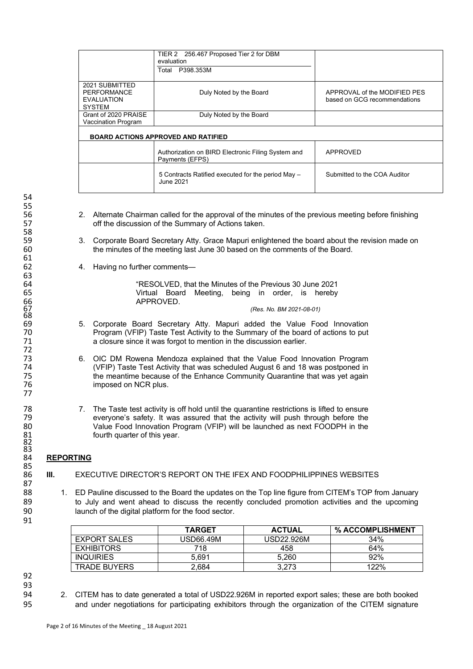|                      | TIER 2 256.467 Proposed Tier 2 for DBM             |                              |
|----------------------|----------------------------------------------------|------------------------------|
|                      | evaluation                                         |                              |
|                      | P398.353M<br>Total                                 |                              |
|                      |                                                    |                              |
| 2021 SUBMITTED       |                                                    |                              |
| PERFORMANCE          | Duly Noted by the Board                            | APPROVAL of the MODIFIED PES |
| <b>EVALUATION</b>    |                                                    | based on GCG recommendations |
| <b>SYSTEM</b>        |                                                    |                              |
| Grant of 2020 PRAISE | Duly Noted by the Board                            |                              |
| Vaccination Program  |                                                    |                              |
|                      |                                                    |                              |
|                      | <b>BOARD ACTIONS APPROVED AND RATIFIED</b>         |                              |
|                      |                                                    |                              |
|                      | Authorization on BIRD Electronic Filing System and | APPROVED                     |
|                      | Payments (EFPS)                                    |                              |
|                      |                                                    |                              |
|                      | 5 Contracts Ratified executed for the period May - | Submitted to the COA Auditor |
|                      | June 2021.                                         |                              |
|                      |                                                    |                              |

- 56 2. Alternate Chairman called for the approval of the minutes of the previous meeting before finishing<br>57 off the discussion of the Summary of Actions taken. off the discussion of the Summary of Actions taken.
- 59 3. Corporate Board Secretary Atty. Grace Mapuri enlightened the board about the revision made on<br>60 the minutes of the meeting last June 30 based on the comments of the Board. the minutes of the meeting last June 30 based on the comments of the Board.
	- 4. Having no further comments—

64 "RESOLVED, that the Minutes of the Previous 30 June 2021 65 Virtual Board Meeting, being in order, is hereby 66 APPROVED.

67 *(Res. No. BM 2021-08-01)*

- 69 5. Corporate Board Secretary Atty. Mapuri added the Value Food Innovation Program (VFIP) Taste Test Activity to the Summary of the board of actions to put 71 a closure since it was forgot to mention in the discussion earlier.
- 73 6. OIC DM Rowena Mendoza explained that the Value Food Innovation Program<br>74 (VFIP) Taste Test Activity that was scheduled August 6 and 18 was postponed in 74 (VFIP) Taste Test Activity that was scheduled August 6 and 18 was postponed in 75 the meantime because of the Enhance Community Quarantine that was yet again imposed on NCR plus.
- 78 7. The Taste test activity is off hold until the quarantine restrictions is lifted to ensure<br>79 series of the was assured that the activity will push through before the 79 everyone's safety. It was assured that the activity will push through before the<br>80 Value Food Innovation Program (VFIP) will be launched as next FOODPH in the Value Food Innovation Program (VFIP) will be launched as next FOODPH in the fourth quarter of this year.

## 84 **REPORTING**

- **III.** EXECUTIVE DIRECTOR'S REPORT ON THE IFEX AND FOODPHILIPPINES WEBSITES
- 1. ED Pauline discussed to the Board the updates on the Top line figure from CITEM's TOP from January 89 to July and went ahead to discuss the recently concluded promotion activities and the upcoming 90 launch of the digital platform for the food sector.

|                     | <b>TARGET</b> | <b>ACTUAL</b> | % ACCOMPLISHMENT |
|---------------------|---------------|---------------|------------------|
| <b>EXPORT SALES</b> | USD66.49M     | USD22.926M    | 34%              |
| <b>EXHIBITORS</b>   | 718           | 458           | 64%              |
| <b>INQUIRIES</b>    | 5.691         | 5.260         | 92%              |
| <b>TRADE BUYERS</b> | 2.684         | 3.273         | 122%             |

92 93<br>94

91

94 2. CITEM has to date generated a total of USD22.926M in reported export sales; these are both booked 95 and under negotiations for participating exhibitors through the organization of the CITEM signature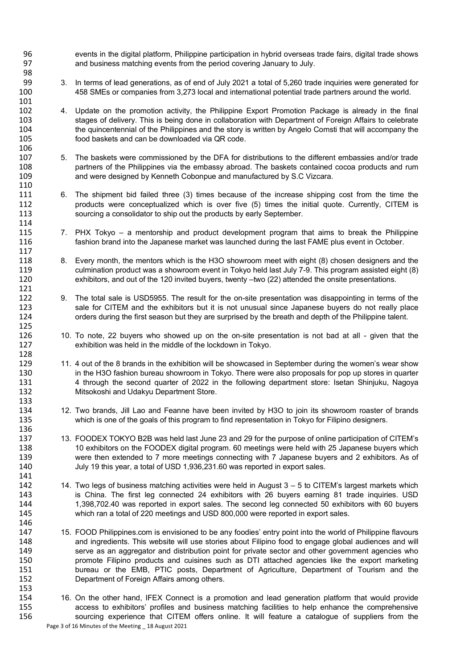events in the digital platform, Philippine participation in hybrid overseas trade fairs, digital trade shows and business matching events from the period covering January to July. 

- 3. In terms of lead generations, as of end of July 2021 a total of 5,260 trade inquiries were generated for 458 SMEs or companies from 3,273 local and international potential trade partners around the world.
- 101<br>102 4. Update on the promotion activity, the Philippine Export Promotion Package is already in the final stages of delivery. This is being done in collaboration with Department of Foreign Affairs to celebrate 104 the quincentennial of the Philippines and the story is written by Angelo Comsti that will accompany the 105 food baskets and can be downloaded via QR code.

- 5. The baskets were commissioned by the DFA for distributions to the different embassies and/or trade partners of the Philippines via the embassy abroad. The baskets contained cocoa products and rum and were designed by Kenneth Cobonpue and manufactured by S.C Vizcara.
- 6. The shipment bid failed three (3) times because of the increase shipping cost from the time the 112 products were conceptualized which is over five (5) times the initial quote. Currently, CITEM is sourcing a consolidator to ship out the products by early September.
- 115 7. PHX Tokyo a mentorship and product development program that aims to break the Philippine<br>116 fashion brand into the Japanese market was launched during the last FAME plus event in October. fashion brand into the Japanese market was launched during the last FAME plus event in October.
- 8. Every month, the mentors which is the H3O showroom meet with eight (8) chosen designers and the culmination product was a showroom event in Tokyo held last July 7-9. This program assisted eight (8) exhibitors, and out of the 120 invited buyers, twenty –two (22) attended the onsite presentations.
- 9. The total sale is USD5955. The result for the on-site presentation was disappointing in terms of the 123 sale for CITEM and the exhibitors but it is not unusual since Japanese buyers do not really place<br>124 orders during the first season but they are surprised by the breath and depth of the Philippine talent. orders during the first season but they are surprised by the breath and depth of the Philippine talent.
- 10. To note, 22 buyers who showed up on the on-site presentation is not bad at all given that the exhibition was held in the middle of the lockdown in Tokyo.
- 11. 4 out of the 8 brands in the exhibition will be showcased in September during the women's wear show 130 in the H3O fashion bureau showroom in Tokyo. There were also proposals for pop up stores in quarter<br>131 120 14 through the second quarter of 2022 in the following department store: Isetan Shiniuku. Nagova 4 through the second quarter of 2022 in the following department store: Isetan Shinjuku, Nagoya Mitsokoshi and Udakyu Department Store.
- 12. Two brands, Jill Lao and Feanne have been invited by H3O to join its showroom roaster of brands which is one of the goals of this program to find representation in Tokyo for Filipino designers.
- 13. FOODEX TOKYO B2B was held last June 23 and 29 for the purpose of online participation of CITEM's 10 exhibitors on the FOODEX digital program. 60 meetings were held with 25 Japanese buyers which were then extended to 7 more meetings connecting with 7 Japanese buyers and 2 exhibitors. As of July 19 this year, a total of USD 1,936,231.60 was reported in export sales.
- 141<br>142 14. Two legs of business matching activities were held in August  $3 - 5$  to CITEM's largest markets which is China. The first leg connected 24 exhibitors with 26 buyers earning 81 trade inquiries. USD 1,398,702.40 was reported in export sales. The second leg connected 50 exhibitors with 60 buyers which ran a total of 220 meetings and USD 800,000 were reported in export sales.
- 15. FOOD Philippines.com is envisioned to be any foodies' entry point into the world of Philippine flavours and ingredients. This website will use stories about Filipino food to engage global audiences and will serve as an aggregator and distribution point for private sector and other government agencies who promote Filipino products and cuisines such as DTI attached agencies like the export marketing bureau or the EMB, PTIC posts, Department of Agriculture, Department of Tourism and the Department of Foreign Affairs among others.
- Page 3 of 16 Minutes of the Meeting \_ 18 August 2021 16. On the other hand, IFEX Connect is a promotion and lead generation platform that would provide 155 155 access to exhibitors' profiles and business matching facilities to help enhance the comprehensive<br>156 sourcing experience that CITEM offers online. It will feature a catalogue of suppliers from the sourcing experience that CITEM offers online. It will feature a catalogue of suppliers from the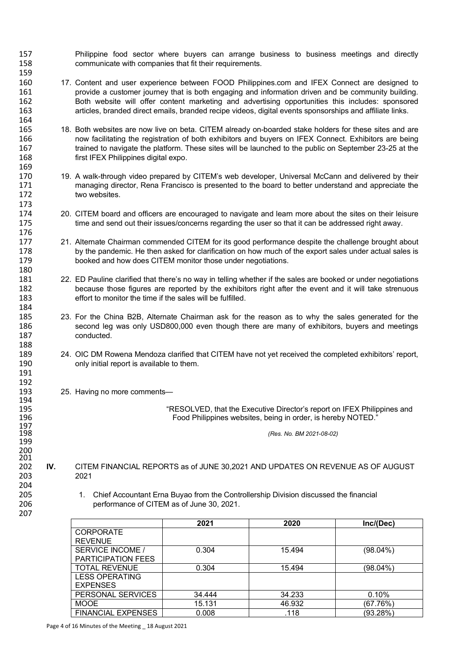- 157 Philippine food sector where buyers can arrange business to business meetings and directly 158 communicate with companies that fit their requirements.
- 160 17. Content and user experience between FOOD Philippines.com and IFEX Connect are designed to 161 provide a customer journey that is both engaging and information driven and be community building.<br>162 **Both website will offer content marketing and advertising opportunities this includes: sponsored** 162 Both website will offer content marketing and advertising opportunities this includes: sponsored articles, branded direct emails, branded recipe videos, digital events sponsorships and affiliate links.
- 165 18. Both websites are now live on beta. CITEM already on-boarded stake holders for these sites and are<br>166 166 now facilitating the registration of both exhibitors and buyers on IFEX Connect. Exhibitors are being 166 now facilitating the registration of both exhibitors and buyers on IFEX Connect. Exhibitors are being<br>167 trained to navigate the platform. These sites will be launched to the public on September 23-25 at the 167 trained to navigate the platform. These sites will be launched to the public on September 23-25 at the 168 first IFEX Philippines digital expo.
- 170 19. A walk-through video prepared by CITEM's web developer, Universal McCann and delivered by their 171 managing director, Rena Francisco is presented to the board to better understand and appreciate the 172 two websites.
- 174 20. CITEM board and officers are encouraged to navigate and learn more about the sites on their leisure 175 time and send out their issues/concerns regarding the user so that it can be addressed right away.
- 21. Alternate Chairman commended CITEM for its good performance despite the challenge brought about 178 by the pandemic. He then asked for clarification on how much of the export sales under actual sales is 179 booked and how does CITEM monitor those under negotiations.
- 181 22. ED Pauline clarified that there's no way in telling whether if the sales are booked or under negotiations 182 because those figures are reported by the exhibitors right after the event and it will take strenuous 183 effort to monitor the time if the sales will be fulfilled.
- 23. For the China B2B, Alternate Chairman ask for the reason as to why the sales generated for the 186 second leg was only USD800,000 even though there are many of exhibitors, buyers and meetings<br>187 conducted. conducted.
- 189 24. OIC DM Rowena Mendoza clarified that CITEM have not yet received the completed exhibitors' report, 190 only initial report is available to them.
- 193 25. Having no more comments—

164

169

173

176<br>177

180

184<br>185

188

191 192

194<br>195

197<br>198

199 200

204

207

195 "RESOLVED, that the Executive Director's report on IFEX Philippines and Food Philippines websites, being in order, is hereby NOTED."

198 *(Res. No. BM 2021-08-02)*

- $\frac{201}{202}$ 202 **IV.** CITEM FINANCIAL REPORTS as of JUNE 30,2021 AND UPDATES ON REVENUE AS OF AUGUST 203 2021
- 205 1. Chief Accountant Erna Buyao from the Controllership Division discussed the financial 206 performance of CITEM as of June 30, 2021.

|                           | 2021   | 2020   | Inc/(Dec)   |
|---------------------------|--------|--------|-------------|
| <b>CORPORATE</b>          |        |        |             |
| <b>REVENUE</b>            |        |        |             |
| <b>SERVICE INCOME /</b>   | 0.304  | 15.494 | $(98.04\%)$ |
| <b>PARTICIPATION FEES</b> |        |        |             |
| <b>TOTAL REVENUE</b>      | 0.304  | 15.494 | (98.04%)    |
| <b>LESS OPERATING</b>     |        |        |             |
| <b>EXPENSES</b>           |        |        |             |
| PERSONAL SERVICES         | 34.444 | 34.233 | 0.10%       |
| <b>MOOE</b>               | 15.131 | 46.932 | (67.76%)    |
| <b>FINANCIAL EXPENSES</b> | 0.008  | .118   | (93.28%)    |

Page 4 of 16 Minutes of the Meeting \_ 18 August 2021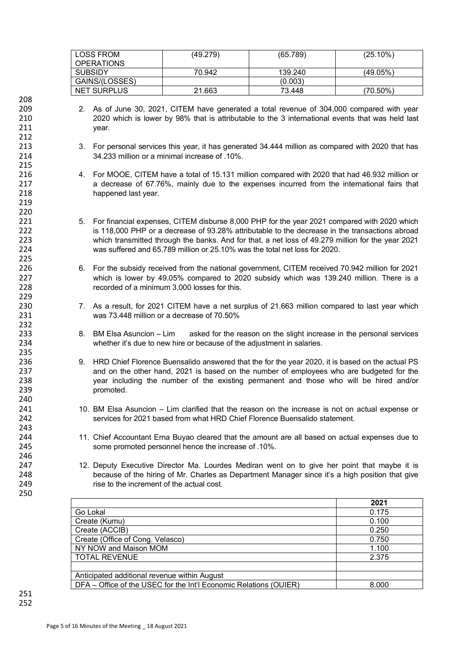| <b>LOSS FROM</b><br><b>OPERATIONS</b> | (49.279) | (65.789) | $(25.10\%)$ |
|---------------------------------------|----------|----------|-------------|
| SUBSIDY                               | 70.942   | 139.240  | (49.05%)    |
| GAINS/(LOSSES)                        |          | (0.003)  |             |
| <b>NET SURPLUS</b>                    | 21.663   | 73.448   | $(70.50\%)$ |

- 209 2. As of June 30, 2021, CITEM have generated a total revenue of 304,000 compared with year 210 2020 which is lower by 98% that is attributable to the 3 international events that was held last year.
- 213 3. For personal services this year, it has generated 34.444 million as compared with 2020 that has 214 34.233 million or a minimal increase of .10%.
- 216 4. For MOOE, CITEM have a total of 15.131 million compared with 2020 that had 46.932 million or 217 a decrease of 67.76%, mainly due to the expenses incurred from the international fairs that 218 happened last year.
- 221 5. For financial expenses, CITEM disburse 8,000 PHP for the year 2021 compared with 2020 which<br>is 118,000 PHP or a decrease of 93.28% attributable to the decrease in the transactions abroad is 118,000 PHP or a decrease of 93.28% attributable to the decrease in the transactions abroad 223 which transmitted through the banks. And for that, a net loss of 49.279 million for the year 2021 224 was suffered and 65.789 million or 25.10% was the total net loss for 2020.
- 226 6. For the subsidy received from the national government, CITEM received 70.942 million for 2021 227 which is lower by 49.05% compared to 2020 subsidy which was 139.240 million. There is a 228 recorded of a minimum 3,000 losses for this.
- 230 7. As a result, for 2021 CITEM have a net surplus of 21.663 million compared to last year which 231 was 73.448 million or a decrease of 70.50%
- 8. BM Elsa Asuncion Lim asked for the reason on the slight increase in the personal services 234 whether it's due to new hire or because of the adjustment in salaries.
- 236 9. HRD Chief Florence Buensalido answered that the for the year 2020, it is based on the actual PS<br>237 and on the other hand. 2021 is based on the number of employees who are budgeted for the and on the other hand, 2021 is based on the number of employees who are budgeted for the 238 year including the number of the existing permanent and those who will be hired and/or 239 **promoted.**
- 241 10. BM Elsa Asuncion Lim clarified that the reason on the increase is not on actual expense or 242 services for 2021 based from what HRD Chief Florence Buensalido statement.
- 244 11. Chief Accountant Erna Buyao cleared that the amount are all based on actual expenses due to 245 some promoted personnel hence the increase of .10%.
- 12. Deputy Executive Director Ma. Lourdes Mediran went on to give her point that maybe it is 248 because of the hiring of Mr. Charles as Department Manager since it's a high position that give 249 rise to the increment of the actual cost.

|                                                                   | 2021  |
|-------------------------------------------------------------------|-------|
| Go Lokal                                                          | 0.175 |
| Create (Kumu)                                                     | 0.100 |
| Create (ACCIB)                                                    | 0.250 |
| Create (Office of Cong. Velasco)                                  | 0.750 |
| NY NOW and Maison MOM                                             | 1.100 |
| <b>TOTAL REVENUE</b>                                              | 2.375 |
|                                                                   |       |
| Anticipated additional revenue within August                      |       |
| DFA – Office of the USEC for the Int'l Economic Relations (OUIER) | 8.000 |

208

212

215

219 220<br>221

225<br>226

229

232<br>233

235<br>236

240

243

246<br>247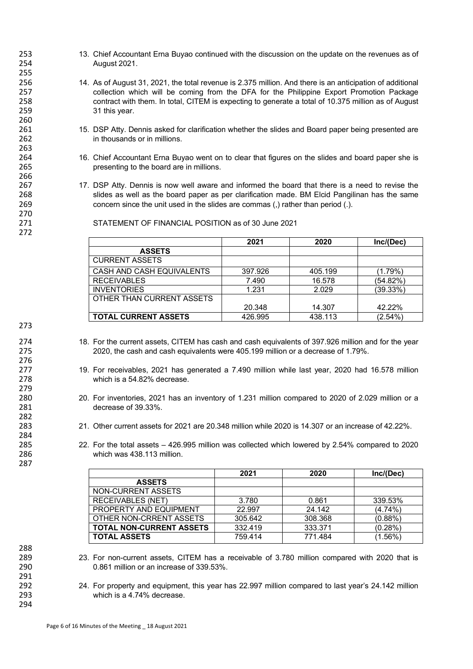- 253 13. Chief Accountant Erna Buyao continued with the discussion on the update on the revenues as of 254 August 2021.
- 256 14. As of August 31, 2021, the total revenue is 2.375 million. And there is an anticipation of additional 257 collection which will be coming from the DFA for the Philippine Export Promotion Package<br>258 contract with them. In total, CITEM is expecting to generate a total of 10.375 million as of August 258 contract with them. In total, CITEM is expecting to generate a total of 10.375 million as of August<br>259 31 this vear. 31 this year.
- 261 15. DSP Atty. Dennis asked for clarification whether the slides and Board paper being presented are<br>262 15. In thousands or in millions. in thousands or in millions.
- 264 16. Chief Accountant Erna Buyao went on to clear that figures on the slides and board paper she is 265 presenting to the board are in millions.
- 267 17. DSP Atty. Dennis is now well aware and informed the board that there is a need to revise the<br>268 slides as well as the board paper as per clarification made. BM Elcid Pangilinan has the same 268 slides as well as the board paper as per clarification made. BM Elcid Pangilinan has the same<br>269 concern since the unit used in the slides are commas (.) rather than period (.). concern since the unit used in the slides are commas (,) rather than period (.).

271 STATEMENT OF FINANCIAL POSITION as of 30 June 2021

|                             | 2021    | 2020    | Inc/(Dec) |
|-----------------------------|---------|---------|-----------|
| <b>ASSETS</b>               |         |         |           |
| <b>CURRENT ASSETS</b>       |         |         |           |
| CASH AND CASH EQUIVALENTS   | 397.926 | 405.199 | (1.79%)   |
| <b>RECEIVABLES</b>          | 7.490   | 16.578  | (54.82%`  |
| <b>INVENTORIES</b>          | 1.231   | 2.029   | (39.33%)  |
| OTHER THAN CURRENT ASSETS   |         |         |           |
|                             | 20.348  | 14.307  | 42.22%    |
| <b>TOTAL CURRENT ASSETS</b> | 426.995 | 438.113 | (2.54%)   |

273

276<br>277

279<br>280

282

284<br>285

287

255

260

263

266

270

272

- 274 18. For the current assets, CITEM has cash and cash equivalents of 397.926 million and for the year<br>275 2020, the cash and cash equivalents were 405.199 million or a decrease of 1.79%. 2020, the cash and cash equivalents were 405.199 million or a decrease of 1.79%.
- 277 19. For receivables, 2021 has generated a 7.490 million while last year, 2020 had 16.578 million 278 which is a 54.82% decrease.
- 280 20. For inventories, 2021 has an inventory of 1.231 million compared to 2020 of 2.029 million or a decrease of 39.33%
- 283 21. Other current assets for 2021 are 20.348 million while 2020 is 14.307 or an increase of 42.22%.
- 285 22. For the total assets 426.995 million was collected which lowered by 2.54% compared to 2020 286 which was 438.113 million.

|                                 | 2021    | 2020    | Inc/(Dec)  |
|---------------------------------|---------|---------|------------|
| <b>ASSETS</b>                   |         |         |            |
| NON-CURRENT ASSETS              |         |         |            |
| <b>RECEIVABLES (NET)</b>        | 3.780   | 0.861   | 339.53%    |
| PROPERTY AND EQUIPMENT          | 22.997  | 24.142  | $(4.74\%)$ |
| OTHER NON-CRRENT ASSETS         | 305.642 | 308.368 | $(0.88\%)$ |
| <b>TOTAL NON-CURRENT ASSETS</b> | 332.419 | 333.371 | (0.28%)    |
| <b>TOTAL ASSETS</b>             | 759.414 | 771.484 | (1.56%)    |

288

291

- 289 23. For non-current assets, CITEM has a receivable of 3.780 million compared with 2020 that is 290 0.861 million or an increase of 339.53%.
- 292 24. For property and equipment, this year has 22.997 million compared to last year's 24.142 million 293 which is a 4.74% decrease.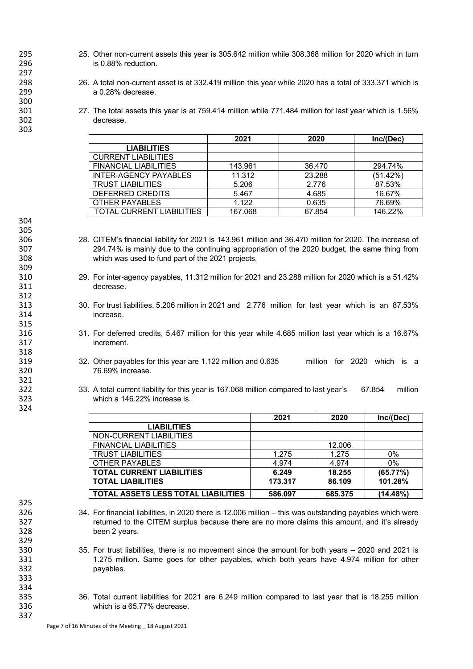- 295 25. Other non-current assets this year is 305.642 million while 308.368 million for 2020 which in turn 296 is 0.88% reduction.
- 298 26. A total non-current asset is at 332.419 million this year while 2020 has a total of 333.371 which is 299 a 0.28% decrease.
- 301 27. The total assets this year is at 759.414 million while 771.484 million for last year which is 1.56% 302 decrease.

|                                  | 2021    | 2020   | Inc/(Dec) |
|----------------------------------|---------|--------|-----------|
| <b>LIABILITIES</b>               |         |        |           |
| <b>CURRENT LIABILITIES</b>       |         |        |           |
| <b>FINANCIAL LIABILITIES</b>     | 143.961 | 36.470 | 294.74%   |
| <b>INTER-AGENCY PAYABLES</b>     | 11.312  | 23.288 | (51.42%)  |
| <b>TRUST LIABILITIES</b>         | 5.206   | 2.776  | 87.53%    |
| DEFERRED CREDITS                 | 5.467   | 4.685  | 16.67%    |
| OTHER PAYABLES                   | 1.122   | 0.635  | 76.69%    |
| <b>TOTAL CURRENT LIABILITIES</b> | 167.068 | 67.854 | 146.22%   |

- 306 28. CITEM's financial liability for 2021 is 143.961 million and 36.470 million for 2020. The increase of 307 294.74% is mainly due to the continuing appropriation of the 2020 budget, the same thing from 307 294.74% is mainly due to the continuing appropriation of the 2020 budget, the same thing from 308 which was used to fund part of the 2021 projects.
- 310 29. For inter-agency payables, 11.312 million for 2021 and 23.288 million for 2020 which is a 51.42% decrease.
- 313 30. For trust liabilities, 5.206 million in 2021 and 2.776 million for last year which is an 87.53% 314 increase.
- 316 31. For deferred credits, 5.467 million for this year while 4.685 million last year which is a 16.67% 317 increment.
- 32. Other payables for this year are 1.122 million and 0.635 million for 2020 which is a 320 76.69% increase.
- 33. A total current liability for this year is 167.068 million compared to last year's 67.854 million 323 which a 146.22% increase is.

|                                            | 2021    | 2020    | Inc/(Dec) |
|--------------------------------------------|---------|---------|-----------|
| <b>LIABILITIES</b>                         |         |         |           |
| NON-CURRENT LIABILITIES                    |         |         |           |
| <b>FINANCIAL LIABILITIES</b>               |         | 12.006  |           |
| <b>TRUST LIABILITIES</b>                   | 1.275   | 1.275   | $0\%$     |
| OTHER PAYABLES                             | 4.974   | 4.974   | 0%        |
| <b>TOTAL CURRENT LIABILITIES</b>           | 6.249   | 18.255  | (65.77%)  |
| <b>TOTAL LIABILITIES</b>                   | 173.317 | 86.109  | 101.28%   |
| <b>TOTAL ASSETS LESS TOTAL LIABILITIES</b> | 586.097 | 685.375 | (14.48%)  |

- 326 34. For financial liabilities, in 2020 there is 12.006 million this was outstanding payables which were 327 returned to the CITEM surplus because there are no more claims this amount, and it's already 328 been 2 years.
- 330 35. For trust liabilities, there is no movement since the amount for both years 2020 and 2021 is 331 1.275 million. Same goes for other payables, which both years have 4.974 million for other 332 payables.
- 335 36. Total current liabilities for 2021 are 6.249 million compared to last year that is 18.255 million 336 which is a 65.77% decrease.

297 300<br>301

303

325

329

333 334<br>335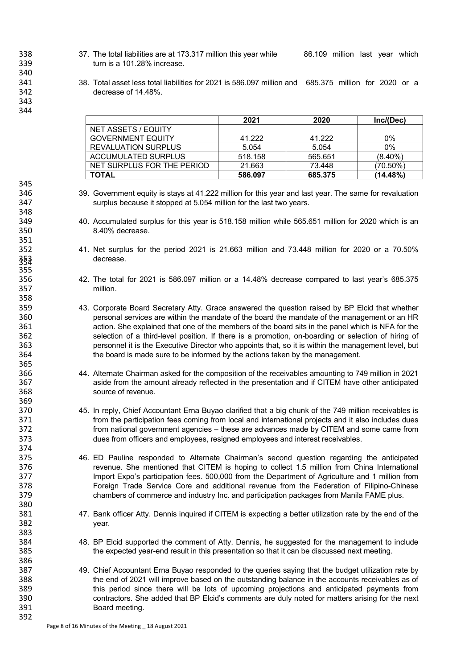338 338 37. The total liabilities are at 173.317 million this year while 36.109 million last year which turn is a 101.28% increase.

 38. Total asset less total liabilities for 2021 is 586.097 million and 685.375 million for 2020 or a decrease of 14.48%.

348<br>349

351<br>352

365<br>366

386<br>387

|                            | 2021    | 2020    | Inc/(Dec)   |
|----------------------------|---------|---------|-------------|
| NET ASSETS / EQUITY        |         |         |             |
| <b>GOVERNMENT EQUITY</b>   | 41.222  | 41.222  | 0%          |
| <b>REVALUATION SURPLUS</b> | 5.054   | 5.054   | 0%          |
| ACCUMULATED SURPLUS        | 518.158 | 565.651 | $(8.40\%)$  |
| NET SURPLUS FOR THE PERIOD | 21.663  | 73.448  | $(70.50\%)$ |
| <b>TOTAL</b>               | 586.097 | 685.375 | (14.48%)    |

- 39. Government equity is stays at 41.222 million for this year and last year. The same for revaluation surplus because it stopped at 5.054 million for the last two years.
- 40. Accumulated surplus for this year is 518.158 million while 565.651 million for 2020 which is an 8.40% decrease.
- 41. Net surplus for the period 2021 is 21.663 million and 73.448 million for 2020 or a 70.50% decrease. 354
- 42. The total for 2021 is 586.097 million or a 14.48% decrease compared to last year's 685.375 million.
- 43. Corporate Board Secretary Atty. Grace answered the question raised by BP Elcid that whether 360 personal services are within the mandate of the board the mandate of the management or an HR<br>361 action. She explained that one of the members of the board sits in the panel which is NFA for the 361 361 action. She explained that one of the members of the board sits in the panel which is NFA for the 362 selection of a third-level position. If there is a promotion, on-boarding or selection of hiring of personnel it is the Executive Director who appoints that, so it is within the management level, but the board is made sure to be informed by the actions taken by the management.
- 44. Alternate Chairman asked for the composition of the receivables amounting to 749 million in 2021 aside from the amount already reflected in the presentation and if CITEM have other anticipated source of revenue.
- 45. In reply, Chief Accountant Erna Buyao clarified that a big chunk of the 749 million receivables is 371 from the participation fees coming from local and international projects and it also includes dues<br>372 from national government agencies – these are advances made by CITEM and some came from from national government agencies – these are advances made by CITEM and some came from dues from officers and employees, resigned employees and interest receivables.
- 375 46. ED Pauline responded to Alternate Chairman's second question regarding the anticipated<br>376 sevenue. She mentioned that CITEM is hoping to collect 1.5 million from China International revenue. She mentioned that CITEM is hoping to collect 1.5 million from China International Import Expo's participation fees. 500,000 from the Department of Agriculture and 1 million from Foreign Trade Service Core and additional revenue from the Federation of Filipino-Chinese chambers of commerce and industry Inc. and participation packages from Manila FAME plus.
- 47. Bank officer Atty. Dennis inquired if CITEM is expecting a better utilization rate by the end of the year.
- 48. BP Elcid supported the comment of Atty. Dennis, he suggested for the management to include the expected year-end result in this presentation so that it can be discussed next meeting.
- 49. Chief Accountant Erna Buyao responded to the queries saying that the budget utilization rate by the end of 2021 will improve based on the outstanding balance in the accounts receivables as of 389 this period since there will be lots of upcoming projections and anticipated payments from contractors. She added that BP Elcid's comments are duly noted for matters arising for the next Board meeting.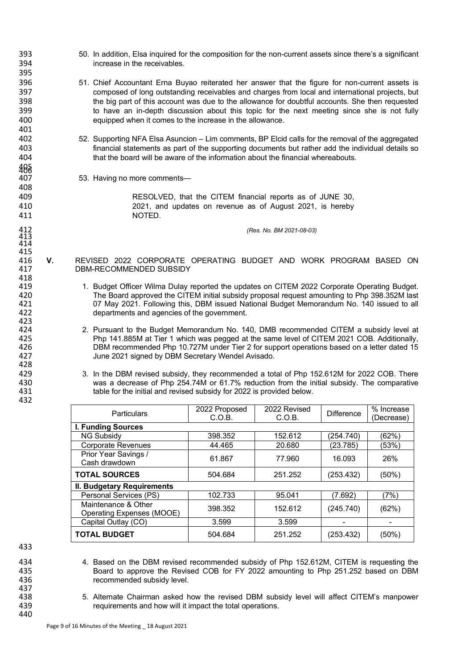- 393 50. In addition, Elsa inquired for the composition for the non-current assets since there's a significant 394 increase in the receivables.
- 396 51. Chief Accountant Erna Buyao reiterated her answer that the figure for non-current assets is 397 composed of long outstanding receivables and charges from local and international projects, but<br>398 the big part of this account was due to the allowance for doubtful accounts. She then requested 398 the big part of this account was due to the allowance for doubtful accounts. She then requested<br>399 to have an in-depth discussion about this topic for the next meeting since she is not fully to have an in-depth discussion about this topic for the next meeting since she is not fully 400 equipped when it comes to the increase in the allowance.
- 402 52. Supporting NFA Elsa Asuncion Lim comments, BP Elcid calls for the removal of the aggregated financial statements as part of the supporting documents but rather add the individual details so 404 that the board will be aware of the information about the financial whereabouts.
	- 53. Having no more comments-

409 RESOLVED, that the CITEM financial reports as of JUNE 30, 410 2021, and updates on revenue as of August 2021, is hereby 411 NOTED.

412 *(Res. No. BM 2021-08-03)*

- 415<br>416 416 **V.** REVISED 2022 CORPORATE OPERATING BUDGET AND WORK PROGRAM BASED ON 417 DBM-RECOMMENDED SUBSIDY 418<br>419
- 419 1. Budget Officer Wilma Dulay reported the updates on CITEM 2022 Corporate Operating Budget.<br>420 The Board approved the CITEM initial subsidy proposal request amounting to Php 398.352M last 420 The Board approved the CITEM initial subsidy proposal request amounting to Php 398.352M last 421 67 May 2021. Following this, DBM issued National Budget Memorandum No. 140 issued to all<br>422 departments and agencies of the government. departments and agencies of the government.
- 424 2. Pursuant to the Budget Memorandum No. 140, DMB recommended CITEM a subsidy level at 425 Php 141.885M at Tier 1 which was pegged at the same level of CITEM 2021 COB. Additionally, 426 **DBM recommended Php 10.727M under Tier 2 for support operations based on a letter dated 15**<br>427 June 2021 signed by DBM Secretary Wendel Avisado. June 2021 signed by DBM Secretary Wendel Avisado.
- 429 3. In the DBM revised subsidy, they recommended a total of Php 152.612M for 2022 COB. There<br>430 was a decrease of Php 254.74M or 61.7% reduction from the initial subsidy. The comparative was a decrease of Php 254.74M or 61.7% reduction from the initial subsidy. The comparative 431 table for the initial and revised subsidy for 2022 is provided below.

| <b>Particulars</b>                               | 2022 Proposed<br>C.O.B. | 2022 Revised<br>C.O.B. | <b>Difference</b> | % Increase<br>(Decrease) |
|--------------------------------------------------|-------------------------|------------------------|-------------------|--------------------------|
| <b>I. Funding Sources</b>                        |                         |                        |                   |                          |
| <b>NG Subsidy</b>                                | 398.352                 | 152.612                | (254.740)         | (62%)                    |
| <b>Corporate Revenues</b>                        | 44.465                  | 20.680                 | (23.785)          | (53%)                    |
| Prior Year Savings /<br>Cash drawdown            | 61.867                  | 77.960                 | 16.093            | 26%                      |
| <b>TOTAL SOURCES</b>                             | 504.684                 | 251.252                | (253.432)         | (50%)                    |
| II. Budgetary Requirements                       |                         |                        |                   |                          |
| Personal Services (PS)                           | 102.733                 | 95.041                 | (7.692)           | (7%)                     |
| Maintenance & Other<br>Operating Expenses (MOOE) | 398.352                 | 152.612                | (245.740)         | (62%)                    |
| Capital Outlay (CO)                              | 3.599                   | 3.599                  |                   |                          |
| <b>TOTAL BUDGET</b>                              | 504.684                 | 251.252                | (253.432)         | (50%)                    |

433

437<br>438

440

395

401<br>402

405<br>407

408

413 414

423

428

- 434 4. Based on the DBM revised recommended subsidy of Php 152.612M, CITEM is requesting the<br>435 435 Anard to approve the Revised COB for FY 2022 amounting to Php 251.252 based on DBM 435 Board to approve the Revised COB for FY 2022 amounting to Php 251.252 based on DBM<br>436 crecommended subsidy level. recommended subsidy level.
- 438 5. Alternate Chairman asked how the revised DBM subsidy level will affect CITEM's manpower<br>439 equirements and how will it impact the total operations. requirements and how will it impact the total operations.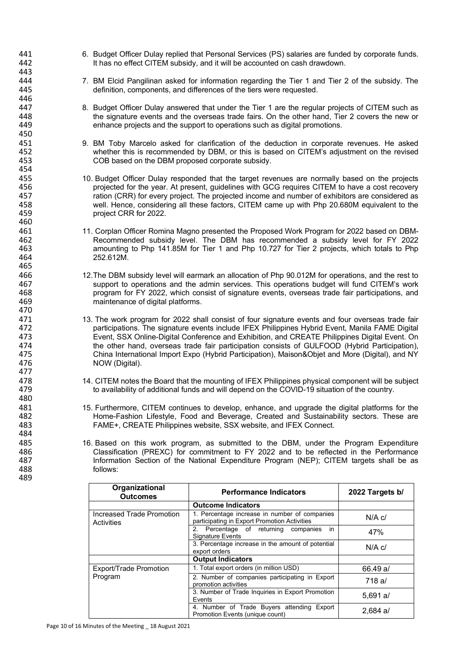- 441 6. Budget Officer Dulay replied that Personal Services (PS) salaries are funded by corporate funds.<br>442 **19. It has no effect CITEM subsidy, and it will be accounted on cash drawdown**. It has no effect CITEM subsidy, and it will be accounted on cash drawdown.
- 444 7. BM Elcid Pangilinan asked for information regarding the Tier 1 and Tier 2 of the subsidy. The 445 definition, components, and differences of the tiers were requested.
- 447 8. Budget Officer Dulay answered that under the Tier 1 are the regular projects of CITEM such as<br>448 the signature events and the overseas trade fairs. On the other hand. Tier 2 covers the new or 448 the signature events and the overseas trade fairs. On the other hand, Tier 2 covers the new or<br>449 enhance projects and the support to operations such as digital promotions. enhance projects and the support to operations such as digital promotions.
- 451 9. BM Toby Marcelo asked for clarification of the deduction in corporate revenues. He asked<br>452 whether this is recommended by DBM, or this is based on CITEM's adjustment on the revised 452 whether this is recommended by DBM, or this is based on CITEM's adjustment on the revised<br>453 COB based on the DBM proposed corporate subsidy. COB based on the DBM proposed corporate subsidy.
- 455 10. Budget Officer Dulay responded that the target revenues are normally based on the projects<br>456 projected for the year. At present, guidelines with GCG requires CITEM to have a cost recovery 456 projected for the year. At present, guidelines with GCG requires CITEM to have a cost recovery<br>457 https://www.casteria.org/2012/2013/2013/2014 at the projected income and number of exhibitors are considered as 457 ration (CRR) for every project. The projected income and number of exhibitors are considered as<br>458 well. Hence, considering all these factors, CITEM came up with Php 20.680M equivalent to the 458 well. Hence, considering all these factors, CITEM came up with Php 20.680M equivalent to the project CRR for 2022.
- 461 11. Corplan Officer Romina Magno presented the Proposed Work Program for 2022 based on DBM-462 Recommended subsidy level. The DBM has recommended a subsidy level for FY 2022 463 amounting to Php 141.85M for Tier 1 and Php 10.727 for Tier 2 projects, which totals to Php 252.612M.
- 466 12.The DBM subsidy level will earmark an allocation of Php 90.012M for operations, and the rest to 467 support to operations and the admin services. This operations budget will fund CITEM's work<br>468 strate fair participations and the CO22 which consist of signature events overseas trade fair participations and 468 program for FY 2022, which consist of signature events, overseas trade fair participations, and maintenance of digital platforms.
- 471 13. The work program for 2022 shall consist of four signature events and four overseas trade fair<br>472 participations. The signature events include IFEX Philippines Hybrid Event. Manila FAME Digital 472 participations. The signature events include IFEX Philippines Hybrid Event, Manila FAME Digital<br>473 Event. SSX Online-Digital Conference and Exhibition. and CREATE Philippines Digital Event. On 473 Event, SSX Online-Digital Conference and Exhibition, and CREATE Philippines Digital Event. On 474 the other hand, overseas trade fair participation consists of GULFOOD (Hybrid Participation),<br>475 China International Import Expo (Hybrid Participation), Maison&Obiet and More (Digital), and NY 475 China International Import Expo (Hybrid Participation), Maison&Objet and More (Digital), and NY 476 NOW (Digital).
- 478 14. CITEM notes the Board that the mounting of IFEX Philippines physical component will be subject<br>479 to availability of additional funds and will depend on the COVID-19 situation of the country. to availability of additional funds and will depend on the COVID-19 situation of the country.
- 481 15. Furthermore, CITEM continues to develop, enhance, and upgrade the digital platforms for the 482 Home-Fashion Lifestyle, Food and Beverage, Created and Sustainability sectors. These are<br>483 FAME+. CREATE Philippines website. SSX website. and IFEX Connect. FAME+, CREATE Philippines website, SSX website, and IFEX Connect.
- 485 16. Based on this work program, as submitted to the DBM, under the Program Expenditure<br>486 1990 Classification (PREXC) for commitment to FY 2022 and to be reflected in the Performance 486 Classification (PREXC) for commitment to FY 2022 and to be reflected in the Performance<br>487 **Information Section of the National Expenditure Program (NEP): CITEM targets shall be as** 487 Information Section of the National Expenditure Program (NEP); CITEM targets shall be as<br>488 follows:  $follows$

| Organizational<br><b>Outcomes</b>       | <b>Performance Indicators</b>                                                                 | 2022 Targets b/ |
|-----------------------------------------|-----------------------------------------------------------------------------------------------|-----------------|
|                                         | <b>Outcome Indicators</b>                                                                     |                 |
| Increased Trade Promotion<br>Activities | 1. Percentage increase in number of companies<br>participating in Export Promotion Activities | $N/A$ $c/$      |
|                                         | in<br>Percentage of returning companies<br>2.<br><b>Signature Events</b>                      | 47%             |
|                                         | 3. Percentage increase in the amount of potential<br>export orders                            | $N/A$ $c/$      |
|                                         | <b>Output Indicators</b>                                                                      |                 |
| <b>Export/Trade Promotion</b>           | 1. Total export orders (in million USD)                                                       | 66.49 a/        |
| Program                                 | 2. Number of companies participating in Export<br>promotion activities                        | 718 a/          |
|                                         | 3. Number of Trade Inquiries in Export Promotion<br>Events                                    | $5.691$ a/      |
|                                         | 4. Number of Trade Buyers attending Export<br>Promotion Events (unique count)                 | $2.684$ a/      |

Page 10 of 16 Minutes of the Meeting \_ 18 August 2021

484<br>485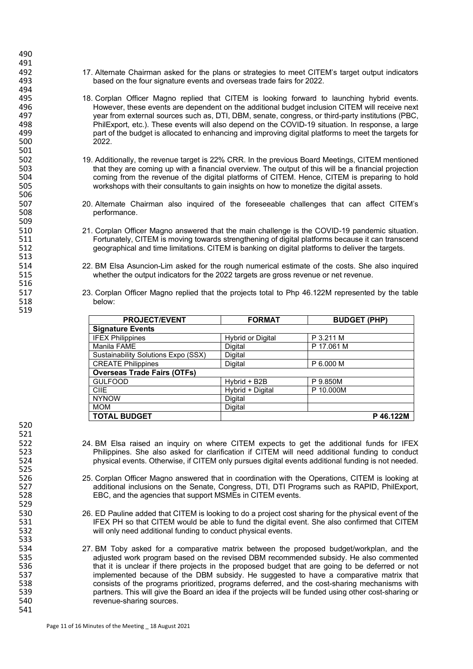- 492 17. Alternate Chairman asked for the plans or strategies to meet CITEM's target output indicators<br>493 hased on the four signature events and overseas trade fairs for 2022. based on the four signature events and overseas trade fairs for 2022.
- 495 18. Corplan Officer Magno replied that CITEM is looking forward to launching hybrid events.<br>496 However, these events are dependent on the additional budget inclusion CITEM will receive next 496 However, these events are dependent on the additional budget inclusion CITEM will receive next<br>497 sear from external sources such as. DTI. DBM. senate. congress. or third-party institutions (PBC. 497 year from external sources such as, DTI, DBM, senate, congress, or third-party institutions (PBC, 498 **PhilExport, etc.). These events will also depend on the COVID-19 situation. In response, a large**<br>499 **part of the budget is allocated to enhancing and improving digital platforms to meet the targets for** part of the budget is allocated to enhancing and improving digital platforms to meet the targets for 500 2022.
- 502 19. Additionally, the revenue target is 22% CRR. In the previous Board Meetings, CITEM mentioned<br>503 that they are coming up with a financial overview. The output of this will be a financial projection 503 that they are coming up with a financial overview. The output of this will be a financial projection<br>504 coming from the revenue of the digital platforms of CITEM. Hence, CITEM is preparing to hold 504 coming from the revenue of the digital platforms of CITEM. Hence, CITEM is preparing to hold<br>505 workshops with their consultants to gain insights on how to monetize the digital assets. workshops with their consultants to gain insights on how to monetize the digital assets.
- 507 20. Alternate Chairman also inquired of the foreseeable challenges that can affect CITEM's performance.
- 510 21. Corplan Officer Magno answered that the main challenge is the COVID-19 pandemic situation. 511 Fortunately, CITEM is moving towards strengthening of digital platforms because it can transcend<br>512 secographical and time limitations. CITEM is banking on digital platforms to deliver the targets. 512 geographical and time limitations. CITEM is banking on digital platforms to deliver the targets.
- 514 22. BM Elsa Asuncion-Lim asked for the rough numerical estimate of the costs. She also inquired<br>515 whether the output indicators for the 2022 targets are gross revenue or net revenue. whether the output indicators for the 2022 targets are gross revenue or net revenue.
- 517 23. Corplan Officer Magno replied that the projects total to Php 46.122M represented by the table<br>518 below: below:

| <b>PROJECT/EVENT</b>                | <b>FORMAT</b>            | <b>BUDGET (PHP)</b> |
|-------------------------------------|--------------------------|---------------------|
| <b>Signature Events</b>             |                          |                     |
| <b>IFEX Philippines</b>             | <b>Hybrid or Digital</b> | P 3.211 M           |
| Manila FAME                         | Digital                  | P 17.061 M          |
| Sustainability Solutions Expo (SSX) | Digital                  |                     |
| <b>CREATE Philippines</b>           | Digital                  | P 6.000 M           |
| <b>Overseas Trade Fairs (OTFs)</b>  |                          |                     |
| <b>GULFOOD</b>                      | Hybrid + B2B             | P 9.850M            |
| <b>CIIE</b>                         | Hybrid + Digital         | P 10.000M           |
| <b>NYNOW</b>                        | Digital                  |                     |
| <b>MOM</b>                          | Digital                  |                     |
| <b>TOTAL BUDGET</b>                 |                          | P46.122M            |

520

525<br>526

529

533

541

- 522 24. BM Elsa raised an inquiry on where CITEM expects to get the additional funds for IFEX<br>523 Philippines. She also asked for clarification if CITEM will need additional funding to conduct 523 Fhilippines. She also asked for clarification if CITEM will need additional funding to conduct<br>524 http://www.callevents. Otherwise, if CITEM only pursues digital events additional funding is not needed. physical events. Otherwise, if CITEM only pursues digital events additional funding is not needed.
- 526 25. Corplan Officer Magno answered that in coordination with the Operations, CITEM is looking at additional inclusions on the Senate, Congress, DTI, DTI Programs such as RAPID, PhilExport, 528 EBC, and the agencies that support MSMEs in CITEM events.
- 530 26. ED Pauline added that CITEM is looking to do a project cost sharing for the physical event of the 531 FEX PH so that CITEM would be able to fund the digital event. She also confirmed that CITEM IFEX PH so that CITEM would be able to fund the digital event. She also confirmed that CITEM 532 will only need additional funding to conduct physical events.
- 534 27. BM Toby asked for a comparative matrix between the proposed budget/workplan, and the 535 adjusted work program based on the revised DBM recommended subsidy. He also commented 536 that it is unclear if there projects in the proposed budget that are going to be deferred or not 537 implemented because of the DBM subsidy. He suggested to have a comparative matrix that<br>538 consists of the programs prioritized, programs deferred, and the cost-sharing mechanisms with 538 consists of the programs prioritized, programs deferred, and the cost-sharing mechanisms with 539 partners. This will give the Board an idea if the projects will be funded using other cost-sharing or revenue-sharing sources.

516<br>517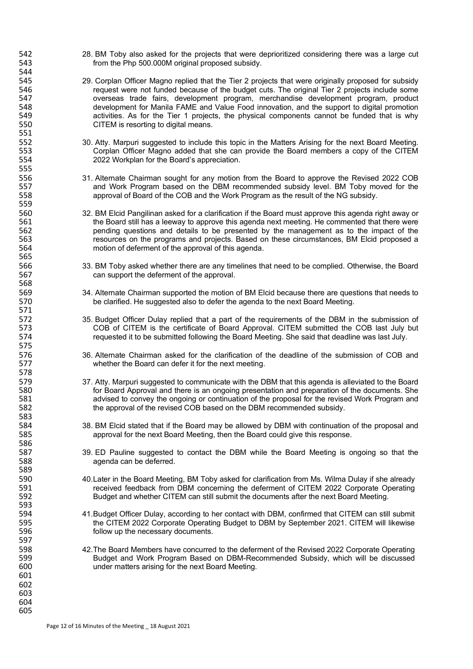- 542 28. BM Toby also asked for the projects that were deprioritized considering there was a large cut<br>543 from the Php 500.000M original proposed subsidy. from the Php 500.000M original proposed subsidy.
- 545 29. Corplan Officer Magno replied that the Tier 2 projects that were originally proposed for subsidy<br>546 sequest were not funded because of the budget cuts. The original Tier 2 projects include some 546 request were not funded because of the budget cuts. The original Tier 2 projects include some 547 overseas trade fairs, development program, merchandise development program, product 548 development for Manila FAME and Value Food innovation, and the support to digital promotion<br>549 sactivities. As for the Tier 1 projects, the physical components cannot be funded that is why activities. As for the Tier 1 projects, the physical components cannot be funded that is why 550 CITEM is resorting to digital means.
- 552 30. Atty. Marpuri suggested to include this topic in the Matters Arising for the next Board Meeting.<br>553 Corplan Officer Magno added that she can provide the Board members a copy of the CITEM 553 Corplan Officer Magno added that she can provide the Board members a copy of the CITEM<br>554 2022 Workplan for the Board's appreciation. 2022 Workplan for the Board's appreciation.
- 556 31. Alternate Chairman sought for any motion from the Board to approve the Revised 2022 COB<br>557 and Work Program based on the DBM recommended subsidy level. BM Toby moved for the 557 and Work Program based on the DBM recommended subsidy level. BM Toby moved for the 558 same opproval of Board of the COB and the Work Program as the result of the NG subsidy. approval of Board of the COB and the Work Program as the result of the NG subsidy.
- 560 32. BM Elcid Pangilinan asked for a clarification if the Board must approve this agenda right away or<br>561 the Board still has a leeway to approve this agenda next meeting. He commented that there were 561 the Board still has a leeway to approve this agenda next meeting. He commented that there were<br>562 sepending questions and details to be presented by the management as to the impact of the 562 bending questions and details to be presented by the management as to the impact of the 563 563 resources on the programs and projects. Based on these circumstances, BM Elcid proposed a motion of deferment of the approval of this agenda.
- 566 33. BM Toby asked whether there are any timelines that need to be complied. Otherwise, the Board<br>567 can support the deferment of the approval. can support the deferment of the approval.
- 569 34. Alternate Chairman supported the motion of BM Elcid because there are questions that needs to<br>570 be clarified. He suggested also to defer the agenda to the next Board Meeting. be clarified. He suggested also to defer the agenda to the next Board Meeting.
- 572 35. Budget Officer Dulay replied that a part of the requirements of the DBM in the submission of 573 COB of CITEM is the certificate of Board Approval. CITEM submitted the COB last July but 573 COB of CITEM is the certificate of Board Approval. CITEM submitted the COB last July but<br>574 sequested it to be submitted following the Board Meeting. She said that deadline was last July. requested it to be submitted following the Board Meeting. She said that deadline was last July.
- 576 36. Alternate Chairman asked for the clarification of the deadline of the submission of COB and<br>577 whether the Board can defer it for the next meeting. whether the Board can defer it for the next meeting.
- 579 37. Atty. Marpuri suggested to communicate with the DBM that this agenda is alleviated to the Board<br>580 for Board Approval and there is an ongoing presentation and preparation of the documents. She 580 for Board Approval and there is an ongoing presentation and preparation of the documents. She<br>581 sadvised to convey the ongoing or continuation of the proposal for the revised Work Program and 581 advised to convey the ongoing or continuation of the proposal for the revised Work Program and<br>582 the approval of the revised COB based on the DBM recommended subsidy. the approval of the revised COB based on the DBM recommended subsidy.
- 584 38. BM Elcid stated that if the Board may be allowed by DBM with continuation of the proposal and 585 approval for the next Board Meeting, then the Board could give this response.
- 587 39. ED Pauline suggested to contact the DBM while the Board Meeting is ongoing so that the 588 agenda can be deferred.
- 590 40.Later in the Board Meeting, BM Toby asked for clarification from Ms. Wilma Dulay if she already 591 received feedback from DBM concerning the deferment of CITEM 2022 Corporate Operating<br>592 592 Budget and whether CITEM can still submit the documents after the next Board Meeting. Budget and whether CITEM can still submit the documents after the next Board Meeting.
- 594 41.Budget Officer Dulay, according to her contact with DBM, confirmed that CITEM can still submit 595 the CITEM 2022 Corporate Operating Budget to DBM by September 2021. CITEM will likewise<br>596 follow up the necessary documents. follow up the necessary documents.
- 598 42.The Board Members have concurred to the deferment of the Revised 2022 Corporate Operating 599 Budget and Work Program Based on DBM-Recommended Subsidy, which will be discussed 600 under matters arising for the next Board Meeting.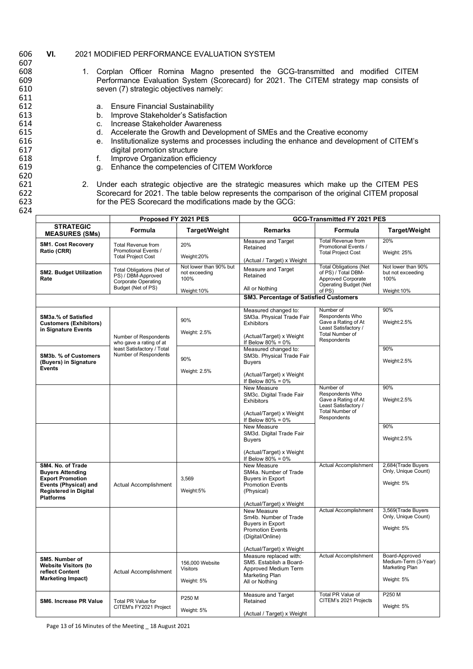## 606 **VI.** 2021 MODIFIED PERFORMANCE EVALUATION SYSTEM

607<br>608 608 1. Corplan Officer Romina Magno presented the GCG-transmitted and modified CITEM 609 **Performance Evaluation System (Scorecard)** for 2021. The CITEM strategy map consists of 610 seven (7) strategic objectives namely: 611 a. Ensure Financial Sustainability 613 b. Improve Stakeholder's Satisfaction<br>614 c. Increase Stakeholder Awareness 614 c. Increase Stakeholder Awareness<br>615 d. Accelerate the Growth and Devel 615 d. Accelerate the Growth and Development of SMEs and the Creative economy<br>616 616 d. Institutionalize systems and processes including the enhance and development 616 e. Institutionalize systems and processes including the enhance and development of CITEM's 617 digital promotion structure<br>618 f. Improve Organization effic 618 f. Improve Organization efficiency<br>619 f. Enhance the competencies of C g. Enhance the competencies of CITEM Workforce 620 621 2. Under each strategic objective are the strategic measures which make up the CITEM PES 622 Scorecard for 2021. The table below represents the comparison of the original CITEM proposal 623 for the PES Scorecard the modifications made by the GCG: 624

|                                                                                                                                                      | Proposed FY 2021 PES                                                                         |                                                                | GCG-Transmitted FY 2021 PES                                                                                                                 |                                                                                                                      |                                                                        |
|------------------------------------------------------------------------------------------------------------------------------------------------------|----------------------------------------------------------------------------------------------|----------------------------------------------------------------|---------------------------------------------------------------------------------------------------------------------------------------------|----------------------------------------------------------------------------------------------------------------------|------------------------------------------------------------------------|
| <b>STRATEGIC</b><br><b>MEASURES (SMs)</b>                                                                                                            | <b>Formula</b>                                                                               | <b>Target/Weight</b>                                           | <b>Remarks</b>                                                                                                                              | Formula                                                                                                              | Target/Weight                                                          |
| <b>SM1. Cost Recovery</b><br>Ratio (CRR)                                                                                                             | <b>Total Revenue from</b><br>Promotional Events /<br><b>Total Project Cost</b>               | 20%<br>Weight:20%                                              | Measure and Target<br>Retained                                                                                                              | <b>Total Revenue from</b><br>Promotional Events /<br><b>Total Project Cost</b>                                       | 20%<br>Weight: 25%                                                     |
| <b>SM2. Budget Utilization</b><br>Rate                                                                                                               | Total Obligations (Net of<br>PS) / DBM-Approved<br>Corporate Operating<br>Budget (Net of PS) | Not lower than 90% but<br>not exceeding<br>100%<br>Weight: 10% | (Actual / Target) x Weight<br>Measure and Target<br>Retained<br>All or Nothing                                                              | <b>Total Obligations (Net</b><br>of PS) / Total DBM-<br>Approved Corporate<br><b>Operating Budget (Net</b><br>of PS) | Not lower than 90%<br>but not exceeding<br>100%<br>Weight:10%          |
|                                                                                                                                                      |                                                                                              |                                                                | <b>SM3. Percentage of Satisfied Customers</b>                                                                                               |                                                                                                                      |                                                                        |
| <b>SM3a.% of Satisfied</b><br><b>Customers (Exhibitors)</b><br>in Signature Events                                                                   | Number of Respondents<br>who gave a rating of at                                             | 90%<br>Weight: 2.5%                                            | Measured changed to:<br>SM3a. Physical Trade Fair<br><b>Exhibitors</b><br>(Actual/Target) x Weight<br>If Below $80\% = 0\%$                 | Number of<br>Respondents Who<br>Gave a Rating of At<br>Least Satisfactory /<br><b>Total Number of</b><br>Respondents | 90%<br>Weight:2.5%                                                     |
| SM3b. % of Customers<br>(Buyers) in Signature<br><b>Events</b>                                                                                       | least Satisfactory / Total<br>Number of Respondents                                          | 90%<br>Weight: 2.5%                                            | Measured changed to:<br>SM3b. Physical Trade Fair<br><b>Buvers</b><br>(Actual/Target) x Weight<br>If Below $80\% = 0\%$                     |                                                                                                                      | 90%<br>Weight:2.5%                                                     |
|                                                                                                                                                      |                                                                                              |                                                                | New Measure<br>SM3c. Digital Trade Fair<br><b>Exhibitors</b><br>(Actual/Target) x Weight<br>If Below $80\% = 0\%$                           | Number of<br>Respondents Who<br>Gave a Rating of At<br>Least Satisfactory /<br>Total Number of<br>Respondents        | 90%<br>Weight:2.5%                                                     |
|                                                                                                                                                      |                                                                                              |                                                                | New Measure<br>SM3d. Digital Trade Fair<br><b>Buyers</b><br>(Actual/Target) x Weight<br>If Below $80\% = 0\%$                               |                                                                                                                      | 90%<br>Weight:2.5%                                                     |
| SM4. No. of Trade<br><b>Buyers Attending</b><br><b>Export Promotion</b><br>Events (Physical) and<br><b>Registered in Digital</b><br><b>Platforms</b> | Actual Accomplishment                                                                        | 3,569<br>Weight:5%                                             | <b>New Measure</b><br>SM4a. Number of Trade<br><b>Buyers in Export</b><br><b>Promotion Events</b><br>(Physical)<br>(Actual/Target) x Weight | Actual Accomplishment                                                                                                | 2,684(Trade Buyers<br>Only, Unique Count)<br>Weight: 5%                |
|                                                                                                                                                      |                                                                                              |                                                                | New Measure<br>Sm4b. Number of Trade<br><b>Buyers in Export</b><br><b>Promotion Events</b><br>(Digital/Online)<br>(Actual/Target) x Weight  | Actual Accomplishment                                                                                                | 3,569(Trade Buyers<br>Only, Unique Count)<br>Weight: 5%                |
| SM5. Number of<br><b>Website Visitors (to</b><br>reflect Content<br><b>Marketing Impact)</b>                                                         | Actual Accomplishment                                                                        | 156,000 Website<br><b>Visitors</b><br>Weight: 5%               | Measure replaced with:<br>SM5. Establish a Board-<br>Approved Medium Term<br>Marketing Plan<br>All or Nothing                               | Actual Accomplishment                                                                                                | Board-Approved<br>Medium-Term (3-Year)<br>Marketing Plan<br>Weight: 5% |
| <b>SM6. Increase PR Value</b>                                                                                                                        | <b>Total PR Value for</b><br>CITEM's FY2021 Project                                          | P250 M<br>Weight: 5%                                           | Measure and Target<br>Retained<br>(Actual / Target) x Weight                                                                                | Total PR Value of<br>CITEM's 2021 Projects                                                                           | P250 M<br>Weight: 5%                                                   |

Page 13 of 16 Minutes of the Meeting \_ 18 August 2021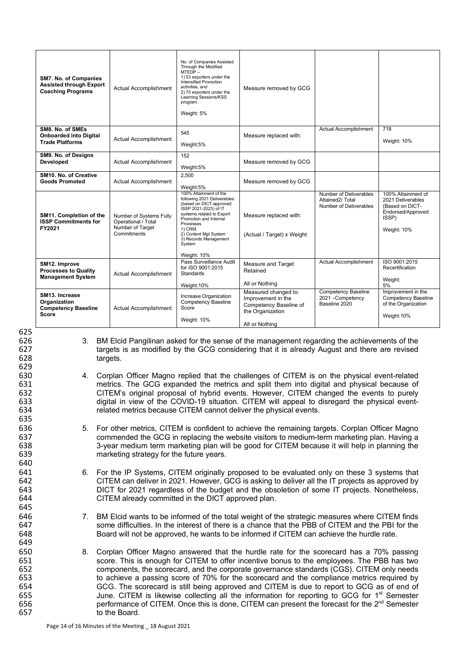| SM7. No. of Companies<br><b>Assisted through Export</b><br><b>Coaching Programs</b> | Actual Accomplishment                                                             | No. of Companies Assisted<br>Through the Modified<br>$MTEDP -$<br>1) 53 exporters under the<br>Intensified Promotion<br>activities, and<br>2) 70 exporters under the<br>Learning Sessions/KSS<br>program.<br>Weight: 5%                                             | Measure removed by GCG                                                                                     |                                                                     |                                                                                                         |
|-------------------------------------------------------------------------------------|-----------------------------------------------------------------------------------|---------------------------------------------------------------------------------------------------------------------------------------------------------------------------------------------------------------------------------------------------------------------|------------------------------------------------------------------------------------------------------------|---------------------------------------------------------------------|---------------------------------------------------------------------------------------------------------|
| SM8. No. of SMEs<br><b>Onboarded into Digital</b><br><b>Trade Platforms</b>         | Actual Accomplishment                                                             | 545<br>Weight:5%                                                                                                                                                                                                                                                    | Measure replaced with:                                                                                     | Actual Accomplishment                                               | 718<br>Weight: 10%                                                                                      |
| SM9. No. of Designs<br>Developed                                                    | Actual Accomplishment                                                             | 152<br>Weight:5%                                                                                                                                                                                                                                                    | Measure removed by GCG                                                                                     |                                                                     |                                                                                                         |
| SM10. No. of Creative<br><b>Goods Promoted</b>                                      | Actual Accomplishment                                                             | 2,500<br>Weight:5%                                                                                                                                                                                                                                                  | Measure removed by GCG                                                                                     |                                                                     |                                                                                                         |
| SM11. Completion of the<br><b>ISSP Commitments for</b><br>FY2021                    | Number of Systems Fully<br>Operational / Total<br>Number of Target<br>Commitments | 100% Attainment of the<br>following 2021 Deliverables<br>(based on DICT-approved<br>ISSP 2021-2023) of IT<br>systems related to Export<br>Promotion and Internal<br>Processes<br>1) CRM.<br>2) Content Mgt System<br>3) Records Management<br>System<br>Weight: 10% | Measure replaced with:<br>(Actual / Target) x Weight                                                       | Number of Deliverables<br>Attained2/Total<br>Number of Deliverables | 100% Attainment of<br>2021 Deliverables<br>(Based on DICT-<br>Endorsed/Approved<br>ISSP)<br>Weight: 10% |
| SM12. Improve<br><b>Processes to Quality</b><br><b>Management System</b>            | Actual Accomplishment                                                             | Pass Surveillance Audit<br>for ISO 9001:2015<br><b>Standards</b><br>Weight: 10%                                                                                                                                                                                     | Measure and Target<br>Retained<br>All or Nothing                                                           | Actual Accomplishment                                               | ISO 9001:2015<br>Recertification<br>Weight:<br>5%                                                       |
| SM13. Increase<br>Organization<br><b>Competency Baseline</b><br><b>Score</b>        | Actual Accomplishment                                                             | Increase Organization<br>Competency Baseline<br>Score<br>Weight: 10%                                                                                                                                                                                                | Measured changed to:<br>Improvement in the<br>Competency Baseline of<br>the Organization<br>All or Nothing | Competency Baseline<br>2021 - Competency<br>Baseline 2020           | Improvement in the<br><b>Competency Baseline</b><br>of the Organization<br>Weight:10%                   |

629

635

640

645

649

626 3. BM Elcid Pangilinan asked for the sense of the management regarding the achievements of the 627 targets is as modified by the GCG considering that it is already August and there are revised 628 targets.

630 4. Corplan Officer Magno replied that the challenges of CITEM is on the physical event-related 631 metrics. The GCG expanded the metrics and split them into digital and physical because of 632<br>632 CITEM's original proposal of hybrid events. However, CITEM changed the events to purely 632 CITEM's original proposal of hybrid events. However, CITEM changed the events to purely 633 digital in view of the COVID-19 situation. CITEM will appeal to disregard the physical event-<br>634 field metrics because CITEM cannot deliver the physical events. related metrics because CITEM cannot deliver the physical events.

636 5. For other metrics, CITEM is confident to achieve the remaining targets. Corplan Officer Magno<br>637 commended the GCG in replacing the website visitors to medium-term marketing plan. Having a commended the GCG in replacing the website visitors to medium-term marketing plan. Having a 3-year medium term marketing plan will be good for CITEM because it will help in planning the marketing strategy for the future years.

 6. For the IP Systems, CITEM originally proposed to be evaluated only on these 3 systems that CITEM can deliver in 2021. However, GCG is asking to deliver all the IT projects as approved by **DICT** for 2021 regardless of the budget and the obsoletion of some IT projects. Nonetheless, 644 **CITEM** already committed in the DICT approved plan. CITEM already committed in the DICT approved plan.

646 7. BM Elcid wants to be informed of the total weight of the strategic measures where CITEM finds<br>647 some difficulties In the interest of there is a chance that the PBB of CITEM and the PBI for the 647 some difficulties. In the interest of there is a chance that the PBB of CITEM and the PBI for the 648 source the hurdle rate. Board will not be approved, he wants to be informed if CITEM can achieve the hurdle rate.

650 8. Corplan Officer Magno answered that the hurdle rate for the scorecard has a 70% passing 651 score. This is enough for CITEM to offer incentive bonus to the employees. The PBB has two<br>652 components, the scorecard, and the corporate governance standards (CGS), CITEM only needs 652 components, the scorecard, and the corporate governance standards (CGS). CITEM only needs<br>653 to achieve a passing score of 70% for the scorecard and the compliance metrics required by 653 to achieve a passing score of 70% for the scorecard and the compliance metrics required by 654 GCG. The scorecard is still being approved and CITEM is due to report to GCG as of end of 655 June. CITEM is likewise collecting all the information for reporting to GCG for 1<sup>st</sup> Semester June. CITEM is likewise collecting all the information for reporting to GCG for 1<sup>st</sup> Semester<br>656 Semester Septemance of CITEM. Once this is done, CITEM can present the forecast for the 2<sup>nd</sup> Semester performance of CITEM. Once this is done, CITEM can present the forecast for the 2<sup>nd</sup> Semester 657 to the Board.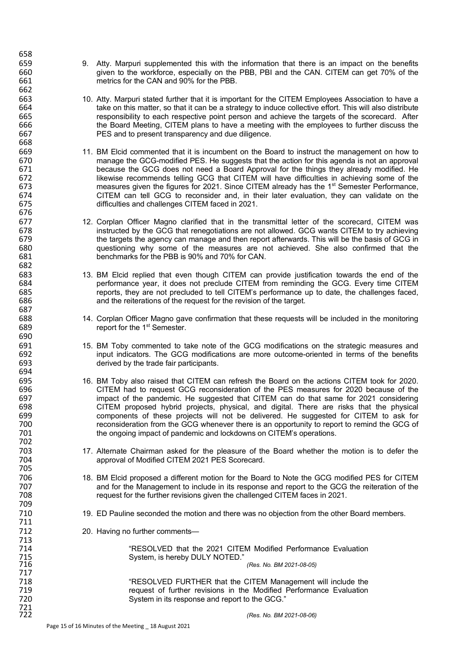- 659 659 9. Atty. Marpuri supplemented this with the information that there is an impact on the benefits 660 given to the workforce, especially on the PBB, PBI and the CAN. CITEM can get 70% of the 661 metrics for the CAN and 90% for the PBB.
- 663 10. Atty. Marpuri stated further that it is important for the CITEM Employees Association to have a<br>664 take on this matter, so that it can be a strategy to induce collective effort. This will also distribute for take on this matter, so that it can be a strategy to induce collective effort. This will also distribute<br>665 for the scorecard. After 665 responsibility to each respective point person and achieve the targets of the scorecard. After 666 the Board Meeting, CITEM plans to have a meeting with the employees to further discuss the 667<br>667 Sepang to present transparency and due diligence. PES and to present transparency and due diligence.
- 669 11. BM Elcid commented that it is incumbent on the Board to instruct the management on how to<br>670 manage the GCG-modified PES. He suggests that the action for this agenda is not an approval 670 manage the GCG-modified PES. He suggests that the action for this agenda is not an approval 671 because the GCG does not need a Board Approval for the things they already modified. He<br>672 bikewise recommends telling GCG that CITEM will have difficulties in achieving some of the 672 likewise recommends telling GCG that CITEM will have difficulties in achieving some of the 673 measures given the figures for 2021. Since CITEM already has the 1<sup>st</sup> Semester Performance, 673 measures given the figures for 2021. Since CITEM already has the 1<sup>st</sup> Semester Performance,<br>674 **Semester CITEM** can tell GCG to reconsider and. in their later evaluation, they can validate on the 674 CITEM can tell GCG to reconsider and, in their later evaluation, they can validate on the 675 difficulties and challenges CITEM faced in 2021.
- 677 12. Corplan Officer Magno clarified that in the transmittal letter of the scorecard, CITEM was<br>678 https://www.instructed by the GCG that renegotiations are not allowed. GCG wants CITEM to try achieving 678 instructed by the GCG that renegotiations are not allowed. GCG wants CITEM to try achieving 679 the targets the agency can manage and then report afterwards. This will be the basis of GCG in<br>680 ouestioning why some of the measures are not achieved. She also confirmed that the 680 questioning why some of the measures are not achieved. She also confirmed that the 681 benchmarks for the PBB is 90% and 70% for CAN.
- 683 13. BM Elcid replied that even though CITEM can provide justification towards the end of the 684 berformance year, it does not preclude CITEM from reminding the GCG. Every time CITEM 685<br>685 ferogram of the contract the variance of the CITEM's performance up to date, the challenges faced. 685 reports, they are not precluded to tell CITEM's performance up to date, the challenges faced, 686<br>686 and the reiterations of the request for the revision of the target. and the reiterations of the request for the revision of the target.
- 688 14. Corplan Officer Magno gave confirmation that these requests will be included in the monitoring 689 report for the 1<sup>st</sup> Semester.
- 691 15. BM Toby commented to take note of the GCG modifications on the strategic measures and<br>692 input indicators. The GCG modifications are more outcome-oriented in terms of the benefits 692 input indicators. The GCG modifications are more outcome-oriented in terms of the benefits 693 derived by the trade fair participants.
- 695 16. BM Toby also raised that CITEM can refresh the Board on the actions CITEM took for 2020. 696 CITEM had to request GCG reconsideration of the PES measures for 2020 because of the 697 impact of the pandemic. He suggested that CITEM can do that same for 2021 considering 698 CITEM proposed hybrid projects, physical, and digital. There are risks that the physical 699 components of these projects will not be delivered. He suggested for CITEM to ask for 700 **reconsideration from the GCG whenever there is an opportunity to report to remind the GCG of** 701 the ongoing impact of pandemic and lockdowns on CITEM's operations.
- 703 17. Alternate Chairman asked for the pleasure of the Board whether the motion is to defer the 704 approval of Modified CITEM 2021 PES Scorecard.
- 706 18. BM Elcid proposed a different motion for the Board to Note the GCG modified PES for CITEM<br>707 https://www.com/and for the Management to include in its response and report to the GCG the reiteration of the 707 and for the Management to include in its response and report to the GCG the reiteration of the 708<br>708 completed for the further revisions given the challenged CITEM faces in 2021. request for the further revisions given the challenged CITEM faces in 2021.
	- 19. ED Pauline seconded the motion and there was no objection from the other Board members.
- 712 20. Having no further comments—

714 THESOLVED that the 2021 CITEM Modified Performance Evaluation<br>715 System, is hereby DULY NOTED."<br>716 (Res. No. BM 2021-08-05) System, is hereby DULY NOTED."

716 *(Res. No. BM 2021-08-05)*

718 "RESOLVED FURTHER that the CITEM Management will include the 719 719 request of further revisions in the Modified Performance Evaluation<br>720 metabolisy System in its response and report to the GCG." System in its response and report to the GCG."

658

662

668

676<br>677

682

687

690

694<br>695

702

705

709

711

713

717